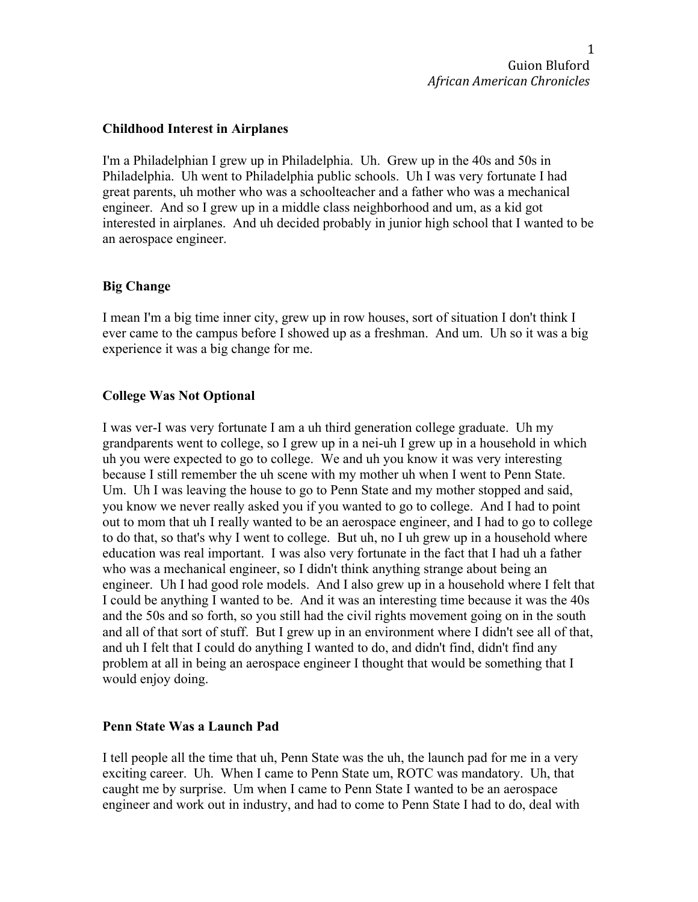### **Childhood Interest in Airplanes**

I'm a Philadelphian I grew up in Philadelphia. Uh. Grew up in the 40s and 50s in Philadelphia. Uh went to Philadelphia public schools. Uh I was very fortunate I had great parents, uh mother who was a schoolteacher and a father who was a mechanical engineer. And so I grew up in a middle class neighborhood and um, as a kid got interested in airplanes. And uh decided probably in junior high school that I wanted to be an aerospace engineer.

## **Big Change**

I mean I'm a big time inner city, grew up in row houses, sort of situation I don't think I ever came to the campus before I showed up as a freshman. And um. Uh so it was a big experience it was a big change for me.

## **College Was Not Optional**

I was ver-I was very fortunate I am a uh third generation college graduate. Uh my grandparents went to college, so I grew up in a nei-uh I grew up in a household in which uh you were expected to go to college. We and uh you know it was very interesting because I still remember the uh scene with my mother uh when I went to Penn State. Um. Uh I was leaving the house to go to Penn State and my mother stopped and said, you know we never really asked you if you wanted to go to college. And I had to point out to mom that uh I really wanted to be an aerospace engineer, and I had to go to college to do that, so that's why I went to college. But uh, no I uh grew up in a household where education was real important. I was also very fortunate in the fact that I had uh a father who was a mechanical engineer, so I didn't think anything strange about being an engineer. Uh I had good role models. And I also grew up in a household where I felt that I could be anything I wanted to be. And it was an interesting time because it was the 40s and the 50s and so forth, so you still had the civil rights movement going on in the south and all of that sort of stuff. But I grew up in an environment where I didn't see all of that, and uh I felt that I could do anything I wanted to do, and didn't find, didn't find any problem at all in being an aerospace engineer I thought that would be something that I would enjoy doing.

## **Penn State Was a Launch Pad**

I tell people all the time that uh, Penn State was the uh, the launch pad for me in a very exciting career. Uh. When I came to Penn State um, ROTC was mandatory. Uh, that caught me by surprise. Um when I came to Penn State I wanted to be an aerospace engineer and work out in industry, and had to come to Penn State I had to do, deal with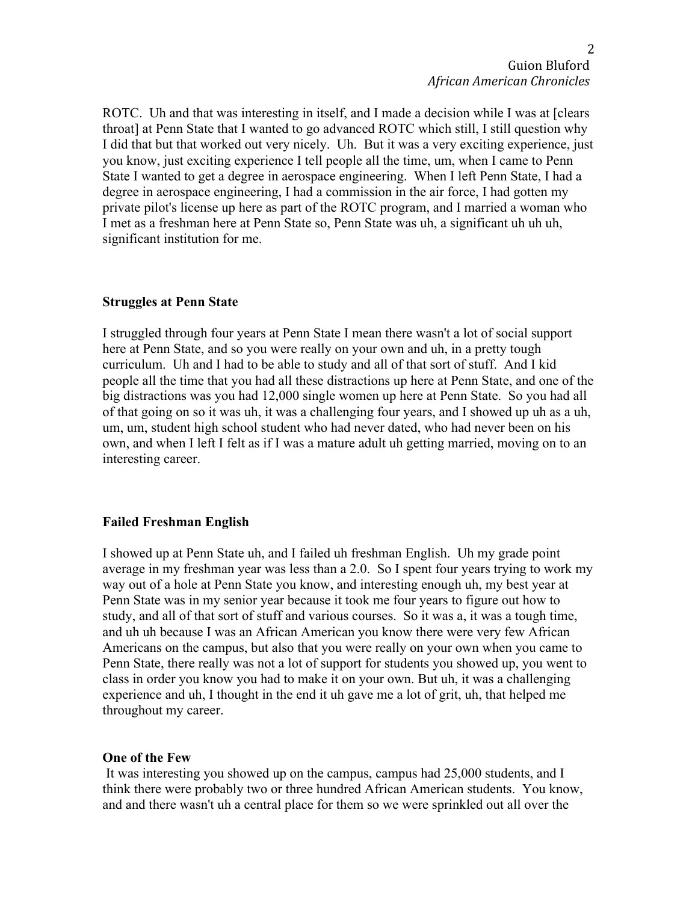ROTC. Uh and that was interesting in itself, and I made a decision while I was at [clears throat] at Penn State that I wanted to go advanced ROTC which still, I still question why I did that but that worked out very nicely. Uh. But it was a very exciting experience, just you know, just exciting experience I tell people all the time, um, when I came to Penn State I wanted to get a degree in aerospace engineering. When I left Penn State, I had a degree in aerospace engineering, I had a commission in the air force, I had gotten my private pilot's license up here as part of the ROTC program, and I married a woman who I met as a freshman here at Penn State so, Penn State was uh, a significant uh uh uh, significant institution for me.

#### **Struggles at Penn State**

I struggled through four years at Penn State I mean there wasn't a lot of social support here at Penn State, and so you were really on your own and uh, in a pretty tough curriculum. Uh and I had to be able to study and all of that sort of stuff. And I kid people all the time that you had all these distractions up here at Penn State, and one of the big distractions was you had 12,000 single women up here at Penn State. So you had all of that going on so it was uh, it was a challenging four years, and I showed up uh as a uh, um, um, student high school student who had never dated, who had never been on his own, and when I left I felt as if I was a mature adult uh getting married, moving on to an interesting career.

## **Failed Freshman English**

I showed up at Penn State uh, and I failed uh freshman English. Uh my grade point average in my freshman year was less than a 2.0. So I spent four years trying to work my way out of a hole at Penn State you know, and interesting enough uh, my best year at Penn State was in my senior year because it took me four years to figure out how to study, and all of that sort of stuff and various courses. So it was a, it was a tough time, and uh uh because I was an African American you know there were very few African Americans on the campus, but also that you were really on your own when you came to Penn State, there really was not a lot of support for students you showed up, you went to class in order you know you had to make it on your own. But uh, it was a challenging experience and uh, I thought in the end it uh gave me a lot of grit, uh, that helped me throughout my career.

#### **One of the Few**

 It was interesting you showed up on the campus, campus had 25,000 students, and I think there were probably two or three hundred African American students. You know, and and there wasn't uh a central place for them so we were sprinkled out all over the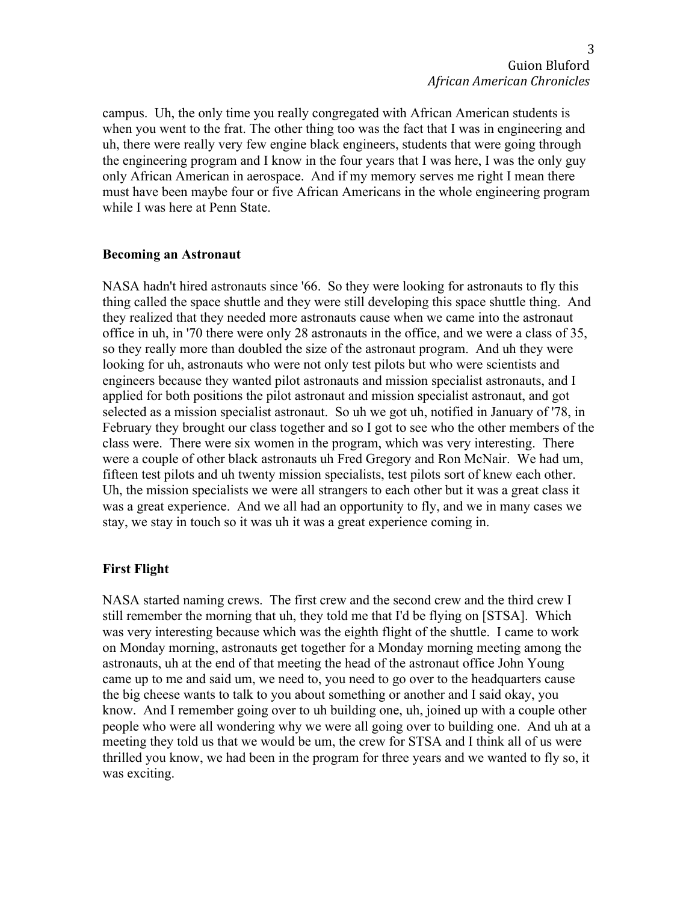campus. Uh, the only time you really congregated with African American students is when you went to the frat. The other thing too was the fact that I was in engineering and uh, there were really very few engine black engineers, students that were going through the engineering program and I know in the four years that I was here, I was the only guy only African American in aerospace. And if my memory serves me right I mean there must have been maybe four or five African Americans in the whole engineering program while I was here at Penn State.

#### **Becoming an Astronaut**

NASA hadn't hired astronauts since '66. So they were looking for astronauts to fly this thing called the space shuttle and they were still developing this space shuttle thing. And they realized that they needed more astronauts cause when we came into the astronaut office in uh, in '70 there were only 28 astronauts in the office, and we were a class of 35, so they really more than doubled the size of the astronaut program. And uh they were looking for uh, astronauts who were not only test pilots but who were scientists and engineers because they wanted pilot astronauts and mission specialist astronauts, and I applied for both positions the pilot astronaut and mission specialist astronaut, and got selected as a mission specialist astronaut. So uh we got uh, notified in January of '78, in February they brought our class together and so I got to see who the other members of the class were. There were six women in the program, which was very interesting. There were a couple of other black astronauts uh Fred Gregory and Ron McNair. We had um, fifteen test pilots and uh twenty mission specialists, test pilots sort of knew each other. Uh, the mission specialists we were all strangers to each other but it was a great class it was a great experience. And we all had an opportunity to fly, and we in many cases we stay, we stay in touch so it was uh it was a great experience coming in.

#### **First Flight**

NASA started naming crews. The first crew and the second crew and the third crew I still remember the morning that uh, they told me that I'd be flying on [STSA]. Which was very interesting because which was the eighth flight of the shuttle. I came to work on Monday morning, astronauts get together for a Monday morning meeting among the astronauts, uh at the end of that meeting the head of the astronaut office John Young came up to me and said um, we need to, you need to go over to the headquarters cause the big cheese wants to talk to you about something or another and I said okay, you know. And I remember going over to uh building one, uh, joined up with a couple other people who were all wondering why we were all going over to building one. And uh at a meeting they told us that we would be um, the crew for STSA and I think all of us were thrilled you know, we had been in the program for three years and we wanted to fly so, it was exciting.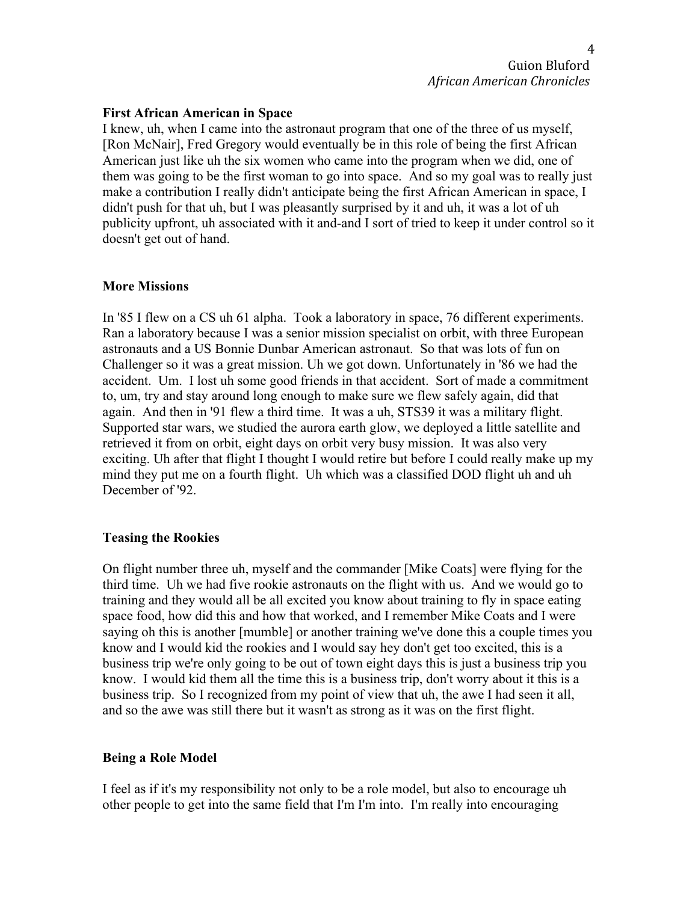#### **First African American in Space**

I knew, uh, when I came into the astronaut program that one of the three of us myself, [Ron McNair], Fred Gregory would eventually be in this role of being the first African American just like uh the six women who came into the program when we did, one of them was going to be the first woman to go into space. And so my goal was to really just make a contribution I really didn't anticipate being the first African American in space, I didn't push for that uh, but I was pleasantly surprised by it and uh, it was a lot of uh publicity upfront, uh associated with it and-and I sort of tried to keep it under control so it doesn't get out of hand.

#### **More Missions**

In '85 I flew on a CS uh 61 alpha. Took a laboratory in space, 76 different experiments. Ran a laboratory because I was a senior mission specialist on orbit, with three European astronauts and a US Bonnie Dunbar American astronaut. So that was lots of fun on Challenger so it was a great mission. Uh we got down. Unfortunately in '86 we had the accident. Um. I lost uh some good friends in that accident. Sort of made a commitment to, um, try and stay around long enough to make sure we flew safely again, did that again. And then in '91 flew a third time. It was a uh, STS39 it was a military flight. Supported star wars, we studied the aurora earth glow, we deployed a little satellite and retrieved it from on orbit, eight days on orbit very busy mission. It was also very exciting. Uh after that flight I thought I would retire but before I could really make up my mind they put me on a fourth flight. Uh which was a classified DOD flight uh and uh December of '92.

#### **Teasing the Rookies**

On flight number three uh, myself and the commander [Mike Coats] were flying for the third time. Uh we had five rookie astronauts on the flight with us. And we would go to training and they would all be all excited you know about training to fly in space eating space food, how did this and how that worked, and I remember Mike Coats and I were saying oh this is another [mumble] or another training we've done this a couple times you know and I would kid the rookies and I would say hey don't get too excited, this is a business trip we're only going to be out of town eight days this is just a business trip you know. I would kid them all the time this is a business trip, don't worry about it this is a business trip. So I recognized from my point of view that uh, the awe I had seen it all, and so the awe was still there but it wasn't as strong as it was on the first flight.

#### **Being a Role Model**

I feel as if it's my responsibility not only to be a role model, but also to encourage uh other people to get into the same field that I'm I'm into. I'm really into encouraging